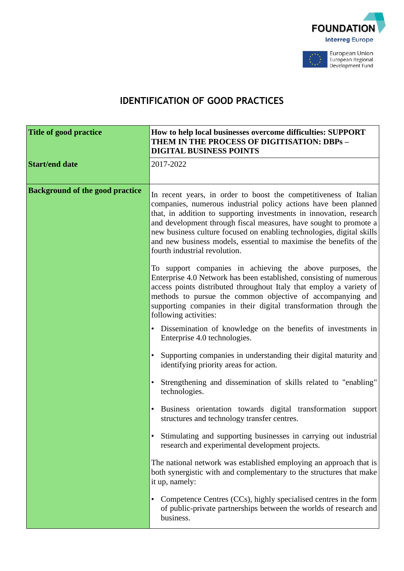



# **IDENTIFICATION OF GOOD PRACTICES**

| <b>Title of good practice</b>          | How to help local businesses overcome difficulties: SUPPORT<br>THEM IN THE PROCESS OF DIGITISATION: DBPs -<br><b>DIGITAL BUSINESS POINTS</b>                                                                                                                                                                                                                                                                                                                     |
|----------------------------------------|------------------------------------------------------------------------------------------------------------------------------------------------------------------------------------------------------------------------------------------------------------------------------------------------------------------------------------------------------------------------------------------------------------------------------------------------------------------|
| <b>Start/end date</b>                  | 2017-2022                                                                                                                                                                                                                                                                                                                                                                                                                                                        |
| <b>Background of the good practice</b> | In recent years, in order to boost the competitiveness of Italian<br>companies, numerous industrial policy actions have been planned<br>that, in addition to supporting investments in innovation, research<br>and development through fiscal measures, have sought to promote a<br>new business culture focused on enabling technologies, digital skills<br>and new business models, essential to maximise the benefits of the<br>fourth industrial revolution. |
|                                        | To support companies in achieving the above purposes, the<br>Enterprise 4.0 Network has been established, consisting of numerous<br>access points distributed throughout Italy that employ a variety of<br>methods to pursue the common objective of accompanying and<br>supporting companies in their digital transformation through the<br>following activities:                                                                                               |
|                                        | Dissemination of knowledge on the benefits of investments in<br>$\bullet$<br>Enterprise 4.0 technologies.                                                                                                                                                                                                                                                                                                                                                        |
|                                        | Supporting companies in understanding their digital maturity and<br>identifying priority areas for action.                                                                                                                                                                                                                                                                                                                                                       |
|                                        | Strengthening and dissemination of skills related to "enabling"<br>technologies.                                                                                                                                                                                                                                                                                                                                                                                 |
|                                        | Business orientation towards digital transformation support<br>$\bullet$<br>structures and technology transfer centres.                                                                                                                                                                                                                                                                                                                                          |
|                                        | Stimulating and supporting businesses in carrying out industrial<br>research and experimental development projects.                                                                                                                                                                                                                                                                                                                                              |
|                                        | The national network was established employing an approach that is<br>both synergistic with and complementary to the structures that make<br>it up, namely:                                                                                                                                                                                                                                                                                                      |
|                                        | Competence Centres (CCs), highly specialised centres in the form<br>$\bullet$<br>of public-private partnerships between the worlds of research and<br>business.                                                                                                                                                                                                                                                                                                  |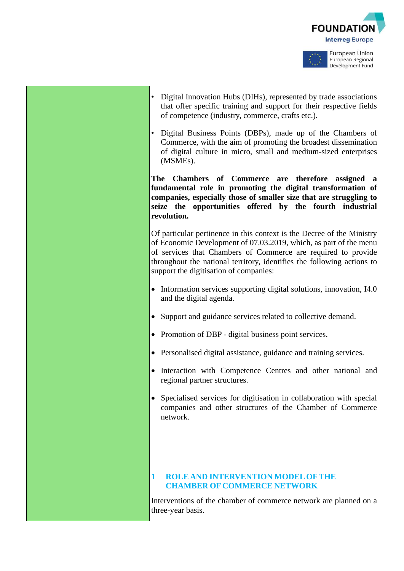



- Digital Innovation Hubs (DIHs), represented by trade associations that offer specific training and support for their respective fields of competence (industry, commerce, crafts etc.).
- Digital Business Points (DBPs), made up of the Chambers of Commerce, with the aim of promoting the broadest dissemination of digital culture in micro, small and medium-sized enterprises (MSMEs).

**The Chambers of Commerce are therefore assigned a fundamental role in promoting the digital transformation of companies, especially those of smaller size that are struggling to seize the opportunities offered by the fourth industrial revolution.**

Of particular pertinence in this context is the Decree of the Ministry of Economic Development of 07.03.2019, which, as part of the menu of services that Chambers of Commerce are required to provide throughout the national territory, identifies the following actions to support the digitisation of companies:

- Information services supporting digital solutions, innovation, I4.0 and the digital agenda.
- Support and guidance services related to collective demand.
- Promotion of DBP digital business point services.
- Personalised digital assistance, guidance and training services.
- Interaction with Competence Centres and other national and regional partner structures.
- Specialised services for digitisation in collaboration with special companies and other structures of the Chamber of Commerce network.

#### **1 ROLE AND INTERVENTION MODELOFTHE CHAMBER OF COMMERCE NETWORK**

Interventions of the chamber of commerce network are planned on a three-year basis.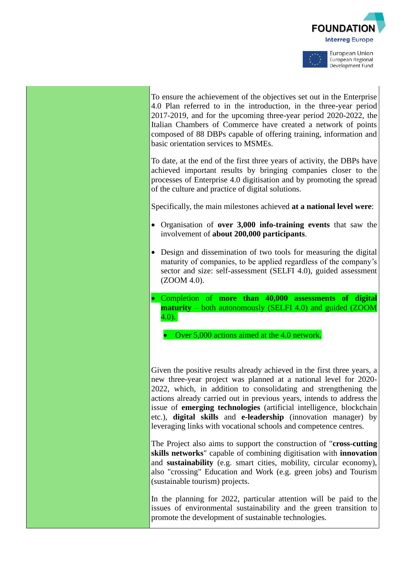



To ensure the achievement of the objectives set out in the Enterprise 4.0 Plan referred to in the introduction, in the three-year period 2017-2019, and for the upcoming three-year period 2020-2022, the Italian Chambers of Commerce have created a network of points composed of 88 DBPs capable of offering training, information and basic orientation services to MSMEs.

To date, at the end of the first three years of activity, the DBPs have achieved important results by bringing companies closer to the processes of Enterprise 4.0 digitisation and by promoting the spread of the culture and practice of digital solutions.

Specifically, the main milestones achieved **at a national level were**:

- Organisation of **over 3,000 info-training events** that saw the involvement of **about 200,000 participants**.
- Design and dissemination of two tools for measuring the digital maturity of companies, to be applied regardless of the company's sector and size: self-assessment (SELFI 4.0), guided assessment (ZOOM 4.0).
- Completion of **more than 40,000 assessments of digital maturity** – both autonomously (SELFI 4.0) and guided (ZOOM  $4.0$ ).

• Over 5,000 actions aimed at the 4.0 network.

Given the positive results already achieved in the first three years, a new three-year project was planned at a national level for 2020- 2022, which, in addition to consolidating and strengthening the actions already carried out in previous years, intends to address the issue of **emerging technologies** (artificial intelligence, blockchain etc.), **digital skills** and **e-leadership** (innovation manager) by leveraging links with vocational schools and competence centres.

The Project also aims to support the construction of "**cross-cutting skills networks**" capable of combining digitisation with **innovation** and **sustainability** (e.g. smart cities, mobility, circular economy), also "crossing" Education and Work (e.g. green jobs) and Tourism (sustainable tourism) projects.

In the planning for 2022, particular attention will be paid to the issues of environmental sustainability and the green transition to promote the development of sustainable technologies.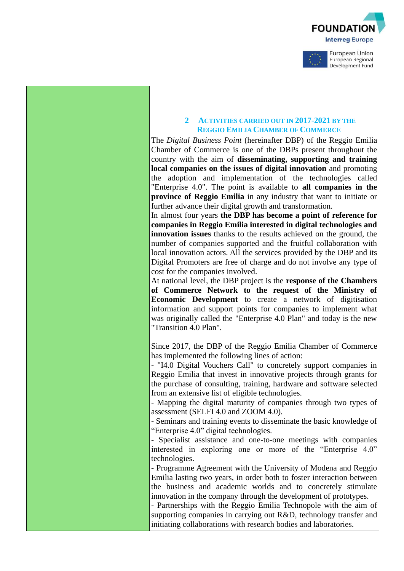



#### **2 ACTIVITIES CARRIED OUT IN 2017-2021 BY THE REGGIO EMILIA CHAMBER OF COMMERCE**

The *Digital Business Point* (hereinafter DBP) of the Reggio Emilia Chamber of Commerce is one of the DBPs present throughout the country with the aim of **disseminating, supporting and training local companies on the issues of digital innovation** and promoting the adoption and implementation of the technologies called "Enterprise 4.0". The point is available to **all companies in the province of Reggio Emilia** in any industry that want to initiate or further advance their digital growth and transformation.

In almost four years **the DBP has become a point of reference for companies in Reggio Emilia interested in digital technologies and innovation issues** thanks to the results achieved on the ground, the number of companies supported and the fruitful collaboration with local innovation actors. All the services provided by the DBP and its Digital Promoters are free of charge and do not involve any type of cost for the companies involved.

At national level, the DBP project is the **response of the Chambers of Commerce Network to the request of the Ministry of Economic Development** to create a network of digitisation information and support points for companies to implement what was originally called the "Enterprise 4.0 Plan" and today is the new "Transition 4.0 Plan".

Since 2017, the DBP of the Reggio Emilia Chamber of Commerce has implemented the following lines of action:

- "I4.0 Digital Vouchers Call" to concretely support companies in Reggio Emilia that invest in innovative projects through grants for the purchase of consulting, training, hardware and software selected from an extensive list of eligible technologies.

- Mapping the digital maturity of companies through two types of assessment (SELFI 4.0 and ZOOM 4.0).

- Seminars and training events to disseminate the basic knowledge of "Enterprise 4.0" digital technologies.

- Specialist assistance and one-to-one meetings with companies interested in exploring one or more of the "Enterprise 4.0" technologies.

- Programme Agreement with the University of Modena and Reggio Emilia lasting two years, in order both to foster interaction between the business and academic worlds and to concretely stimulate innovation in the company through the development of prototypes.

- Partnerships with the Reggio Emilia Technopole with the aim of supporting companies in carrying out R&D, technology transfer and initiating collaborations with research bodies and laboratories.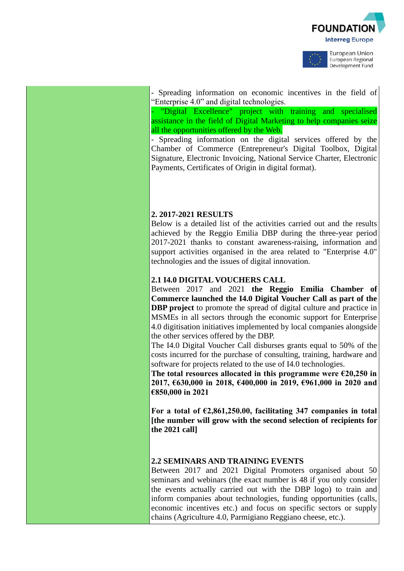



- Spreading information on economic incentives in the field of "Enterprise 4.0" and digital technologies.

Digital Excellence" project with training and specialised assistance in the field of Digital Marketing to help companies seize all the opportunities offered by the Web.

- Spreading information on the digital services offered by the Chamber of Commerce (Entrepreneur's Digital Toolbox, Digital Signature, Electronic Invoicing, National Service Charter, Electronic Payments, Certificates of Origin in digital format).

# **2. 2017-2021 RESULTS**

Below is a detailed list of the activities carried out and the results achieved by the Reggio Emilia DBP during the three-year period 2017-2021 thanks to constant awareness-raising, information and support activities organised in the area related to "Enterprise 4.0" technologies and the issues of digital innovation.

# **2.1 I4.0 DIGITAL VOUCHERS CALL**

Between 2017 and 2021 **the Reggio Emilia Chamber of Commerce launched the I4.0 Digital Voucher Call as part of the DBP project** to promote the spread of digital culture and practice in MSMEs in all sectors through the economic support for Enterprise 4.0 digitisation initiatives implemented by local companies alongside the other services offered by the DBP.

The I4.0 Digital Voucher Call disburses grants equal to 50% of the costs incurred for the purchase of consulting, training, hardware and software for projects related to the use of I4.0 technologies.

**The total resources allocated in this programme were €20,250 in 2017, €630,000 in 2018, €400,000 in 2019, €961,000 in 2020 and €850,000 in 2021** 

**For a total of €2,861,250.00, facilitating 347 companies in total [the number will grow with the second selection of recipients for the 2021 call]**

# **2.2 SEMINARS AND TRAINING EVENTS**

Between 2017 and 2021 Digital Promoters organised about 50 seminars and webinars (the exact number is 48 if you only consider the events actually carried out with the DBP logo) to train and inform companies about technologies, funding opportunities (calls, economic incentives etc.) and focus on specific sectors or supply chains (Agriculture 4.0, Parmigiano Reggiano cheese, etc.).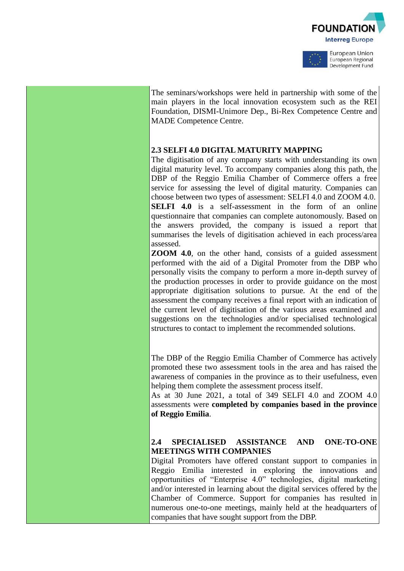



The seminars/workshops were held in partnership with some of the main players in the local innovation ecosystem such as the REI Foundation, DISMI-Unimore Dep., Bi-Rex Competence Centre and MADE Competence Centre.

# **2.3 SELFI 4.0 DIGITAL MATURITY MAPPING**

The digitisation of any company starts with understanding its own digital maturity level. To accompany companies along this path, the DBP of the Reggio Emilia Chamber of Commerce offers a free service for assessing the level of digital maturity. Companies can choose between two types of assessment: SELFI 4.0 and ZOOM 4.0. **SELFI 4.0** is a self-assessment in the form of an online questionnaire that companies can complete autonomously. Based on the answers provided, the company is issued a report that summarises the levels of digitisation achieved in each process/area assessed.

**ZOOM 4.0**, on the other hand, consists of a guided assessment performed with the aid of a Digital Promoter from the DBP who personally visits the company to perform a more in-depth survey of the production processes in order to provide guidance on the most appropriate digitisation solutions to pursue. At the end of the assessment the company receives a final report with an indication of the current level of digitisation of the various areas examined and suggestions on the technologies and/or specialised technological structures to contact to implement the recommended solutions.

The DBP of the Reggio Emilia Chamber of Commerce has actively promoted these two assessment tools in the area and has raised the awareness of companies in the province as to their usefulness, even helping them complete the assessment process itself.

As at 30 June 2021, a total of 349 SELFI 4.0 and ZOOM 4.0 assessments were **completed by companies based in the province of Reggio Emilia**.

#### **2.4 SPECIALISED ASSISTANCE AND ONE-TO-ONE MEETINGS WITH COMPANIES**

Digital Promoters have offered constant support to companies in Reggio Emilia interested in exploring the innovations and opportunities of "Enterprise 4.0" technologies, digital marketing and/or interested in learning about the digital services offered by the Chamber of Commerce. Support for companies has resulted in numerous one-to-one meetings, mainly held at the headquarters of companies that have sought support from the DBP.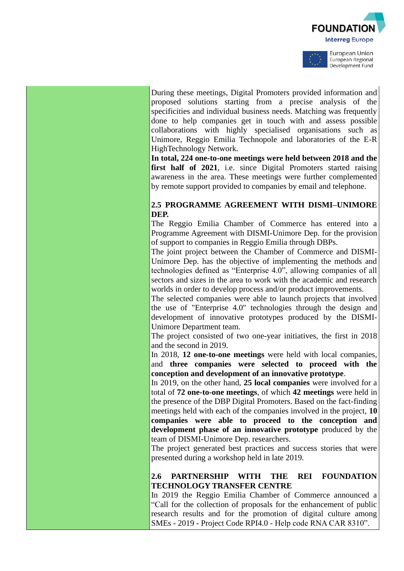



During these meetings, Digital Promoters provided information and proposed solutions starting from a precise analysis of the specificities and individual business needs. Matching was frequently done to help companies get in touch with and assess possible collaborations with highly specialised organisations such as Unimore, Reggio Emilia Technopole and laboratories of the E-R HighTechnology Network.

**In total, 224 one-to-one meetings were held between 2018 and the first half of 2021**, i.e. since Digital Promoters started raising awareness in the area. These meetings were further complemented by remote support provided to companies by email and telephone.

#### **2.5 PROGRAMME AGREEMENT WITH DISMI–UNIMORE DEP.**

The Reggio Emilia Chamber of Commerce has entered into a Programme Agreement with DISMI-Unimore Dep. for the provision of support to companies in Reggio Emilia through DBPs.

The joint project between the Chamber of Commerce and DISMI-Unimore Dep. has the objective of implementing the methods and technologies defined as "Enterprise 4.0", allowing companies of all sectors and sizes in the area to work with the academic and research worlds in order to develop process and/or product improvements.

The selected companies were able to launch projects that involved the use of "Enterprise 4.0" technologies through the design and development of innovative prototypes produced by the DISMI-Unimore Department team.

The project consisted of two one-year initiatives, the first in 2018 and the second in 2019.

In 2018, **12 one-to-one meetings** were held with local companies, and **three companies were selected to proceed with the conception and development of an innovative prototype**.

In 2019, on the other hand, **25 local companies** were involved for a total of **72 one-to-one meetings**, of which **42 meetings** were held in the presence of the DBP Digital Promoters. Based on the fact-finding meetings held with each of the companies involved in the project, **10 companies were able to proceed to the conception and development phase of an innovative prototype** produced by the team of DISMI-Unimore Dep. researchers.

The project generated best practices and success stories that were presented during a workshop held in late 2019.

#### **2.6 PARTNERSHIP WITH THE REI FOUNDATION TECHNOLOGY TRANSFER CENTRE**

In 2019 the Reggio Emilia Chamber of Commerce announced a "Call for the collection of proposals for the enhancement of public research results and for the promotion of digital culture among SMEs - 2019 - Project Code RPI4.0 - Help code RNA CAR 8310".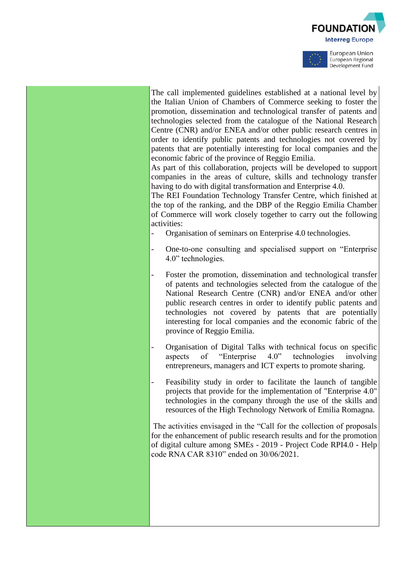



The call implemented guidelines established at a national level by the Italian Union of Chambers of Commerce seeking to foster the promotion, dissemination and technological transfer of patents and technologies selected from the catalogue of the National Research Centre (CNR) and/or ENEA and/or other public research centres in order to identify public patents and technologies not covered by patents that are potentially interesting for local companies and the economic fabric of the province of Reggio Emilia.

As part of this collaboration, projects will be developed to support companies in the areas of culture, skills and technology transfer having to do with digital transformation and Enterprise 4.0.

The REI Foundation Technology Transfer Centre, which finished at the top of the ranking, and the DBP of the Reggio Emilia Chamber of Commerce will work closely together to carry out the following activities:

- Organisation of seminars on Enterprise 4.0 technologies.
- One-to-one consulting and specialised support on "Enterprise 4.0" technologies.
- Foster the promotion, dissemination and technological transfer of patents and technologies selected from the catalogue of the National Research Centre (CNR) and/or ENEA and/or other public research centres in order to identify public patents and technologies not covered by patents that are potentially interesting for local companies and the economic fabric of the province of Reggio Emilia.
- Organisation of Digital Talks with technical focus on specific aspects of "Enterprise 4.0" technologies involving entrepreneurs, managers and ICT experts to promote sharing.
- Feasibility study in order to facilitate the launch of tangible projects that provide for the implementation of "Enterprise 4.0" technologies in the company through the use of the skills and resources of the High Technology Network of Emilia Romagna.

The activities envisaged in the "Call for the collection of proposals for the enhancement of public research results and for the promotion of digital culture among SMEs - 2019 - Project Code RPI4.0 - Help code RNA CAR 8310" ended on 30/06/2021.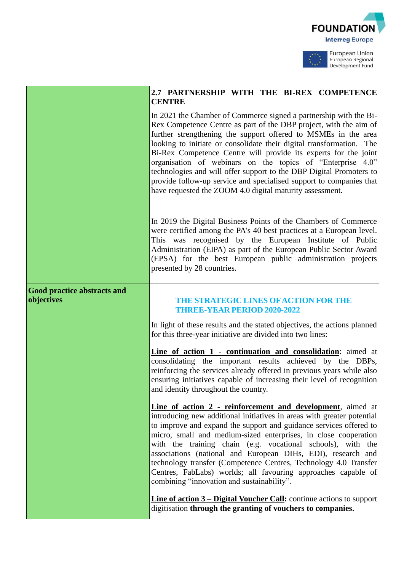



European Regional Development Fund

# **2.7 PARTNERSHIP WITH THE BI-REX COMPETENCE CENTRE**

In 2021 the Chamber of Commerce signed a partnership with the Bi-Rex Competence Centre as part of the DBP project, with the aim of further strengthening the support offered to MSMEs in the area looking to initiate or consolidate their digital transformation. The Bi-Rex Competence Centre will provide its experts for the joint organisation of webinars on the topics of "Enterprise 4.0" technologies and will offer support to the DBP Digital Promoters to provide follow-up service and specialised support to companies that have requested the ZOOM 4.0 digital maturity assessment.

In 2019 the Digital Business Points of the Chambers of Commerce were certified among the PA's 40 best practices at a European level. This was recognised by the European Institute of Public Administration (EIPA) as part of the European Public Sector Award (EPSA) for the best European public administration projects presented by 28 countries.

# **Good practice abstracts and**

#### **objectives THE STRATEGIC LINES OFACTION FOR THE THREE-YEAR PERIOD 2020-2022**

In light of these results and the stated objectives, the actions planned for this three-year initiative are divided into two lines:

**Line of action 1 - continuation and consolidation**: aimed at consolidating the important results achieved by the DBPs, reinforcing the services already offered in previous years while also ensuring initiatives capable of increasing their level of recognition and identity throughout the country.

**Line of action 2 - reinforcement and development**, aimed at introducing new additional initiatives in areas with greater potential to improve and expand the support and guidance services offered to micro, small and medium-sized enterprises, in close cooperation with the training chain (e.g. vocational schools), with the associations (national and European DIHs, EDI), research and technology transfer (Competence Centres, Technology 4.0 Transfer Centres, FabLabs) worlds; all favouring approaches capable of combining "innovation and sustainability".

**Line of action 3 – Digital Voucher Call:** continue actions to support digitisation **through the granting of vouchers to companies.**